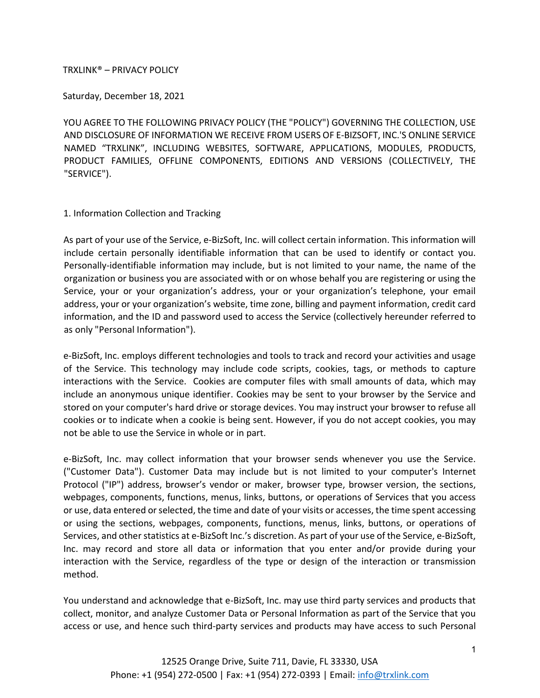## TRXLINK® – PRIVACY POLICY

Saturday, December 18, 2021

YOU AGREE TO THE FOLLOWING PRIVACY POLICY (THE "POLICY") GOVERNING THE COLLECTION, USE AND DISCLOSURE OF INFORMATION WE RECEIVE FROM USERS OF E-BIZSOFT, INC.'S ONLINE SERVICE NAMED "TRXLINK", INCLUDING WEBSITES, SOFTWARE, APPLICATIONS, MODULES, PRODUCTS, PRODUCT FAMILIES, OFFLINE COMPONENTS, EDITIONS AND VERSIONS (COLLECTIVELY, THE "SERVICE").

## 1. Information Collection and Tracking

As part of your use of the Service, e-BizSoft, Inc. will collect certain information. This information will include certain personally identifiable information that can be used to identify or contact you. Personally-identifiable information may include, but is not limited to your name, the name of the organization or business you are associated with or on whose behalf you are registering or using the Service, your or your organization's address, your or your organization's telephone, your email address, your or your organization's website, time zone, billing and payment information, credit card information, and the ID and password used to access the Service (collectively hereunder referred to as only "Personal Information").

e-BizSoft, Inc. employs different technologies and tools to track and record your activities and usage of the Service. This technology may include code scripts, cookies, tags, or methods to capture interactions with the Service. Cookies are computer files with small amounts of data, which may include an anonymous unique identifier. Cookies may be sent to your browser by the Service and stored on your computer's hard drive or storage devices. You may instruct your browser to refuse all cookies or to indicate when a cookie is being sent. However, if you do not accept cookies, you may not be able to use the Service in whole or in part.

e-BizSoft, Inc. may collect information that your browser sends whenever you use the Service. ("Customer Data"). Customer Data may include but is not limited to your computer's Internet Protocol ("IP") address, browser's vendor or maker, browser type, browser version, the sections, webpages, components, functions, menus, links, buttons, or operations of Services that you access or use, data entered or selected, the time and date of your visits or accesses, the time spent accessing or using the sections, webpages, components, functions, menus, links, buttons, or operations of Services, and other statistics at e-BizSoft Inc.'s discretion. As part of your use of the Service, e-BizSoft, Inc. may record and store all data or information that you enter and/or provide during your interaction with the Service, regardless of the type or design of the interaction or transmission method.

You understand and acknowledge that e-BizSoft, Inc. may use third party services and products that collect, monitor, and analyze Customer Data or Personal Information as part of the Service that you access or use, and hence such third-party services and products may have access to such Personal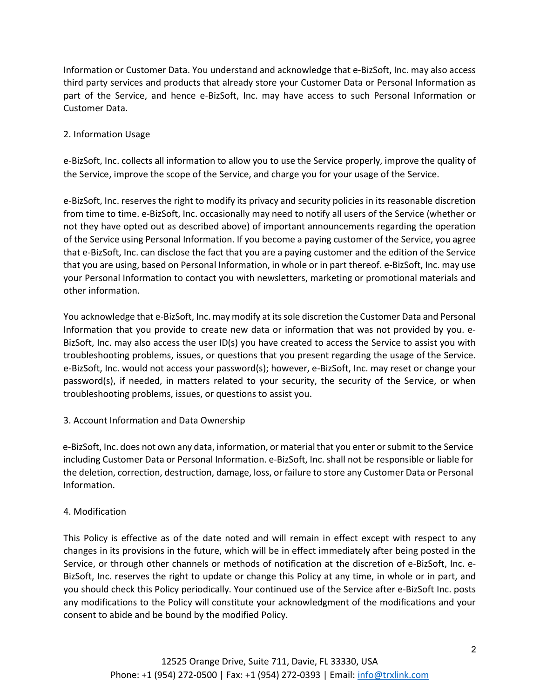Information or Customer Data. You understand and acknowledge that e-BizSoft, Inc. may also access third party services and products that already store your Customer Data or Personal Information as part of the Service, and hence e-BizSoft, Inc. may have access to such Personal Information or Customer Data.

# 2. Information Usage

e-BizSoft, Inc. collects all information to allow you to use the Service properly, improve the quality of the Service, improve the scope of the Service, and charge you for your usage of the Service.

e-BizSoft, Inc. reserves the right to modify its privacy and security policies in its reasonable discretion from time to time. e-BizSoft, Inc. occasionally may need to notify all users of the Service (whether or not they have opted out as described above) of important announcements regarding the operation of the Service using Personal Information. If you become a paying customer of the Service, you agree that e-BizSoft, Inc. can disclose the fact that you are a paying customer and the edition of the Service that you are using, based on Personal Information, in whole or in part thereof. e-BizSoft, Inc. may use your Personal Information to contact you with newsletters, marketing or promotional materials and other information.

You acknowledge that e-BizSoft, Inc. may modify at its sole discretion the Customer Data and Personal Information that you provide to create new data or information that was not provided by you. e-BizSoft, Inc. may also access the user ID(s) you have created to access the Service to assist you with troubleshooting problems, issues, or questions that you present regarding the usage of the Service. e-BizSoft, Inc. would not access your password(s); however, e-BizSoft, Inc. may reset or change your password(s), if needed, in matters related to your security, the security of the Service, or when troubleshooting problems, issues, or questions to assist you.

# 3. Account Information and Data Ownership

e-BizSoft, Inc. does not own any data, information, or material that you enter or submit to the Service including Customer Data or Personal Information. e-BizSoft, Inc. shall not be responsible or liable for the deletion, correction, destruction, damage, loss, or failure to store any Customer Data or Personal Information.

# 4. Modification

This Policy is effective as of the date noted and will remain in effect except with respect to any changes in its provisions in the future, which will be in effect immediately after being posted in the Service, or through other channels or methods of notification at the discretion of e-BizSoft, Inc. e-BizSoft, Inc. reserves the right to update or change this Policy at any time, in whole or in part, and you should check this Policy periodically. Your continued use of the Service after e-BizSoft Inc. posts any modifications to the Policy will constitute your acknowledgment of the modifications and your consent to abide and be bound by the modified Policy.